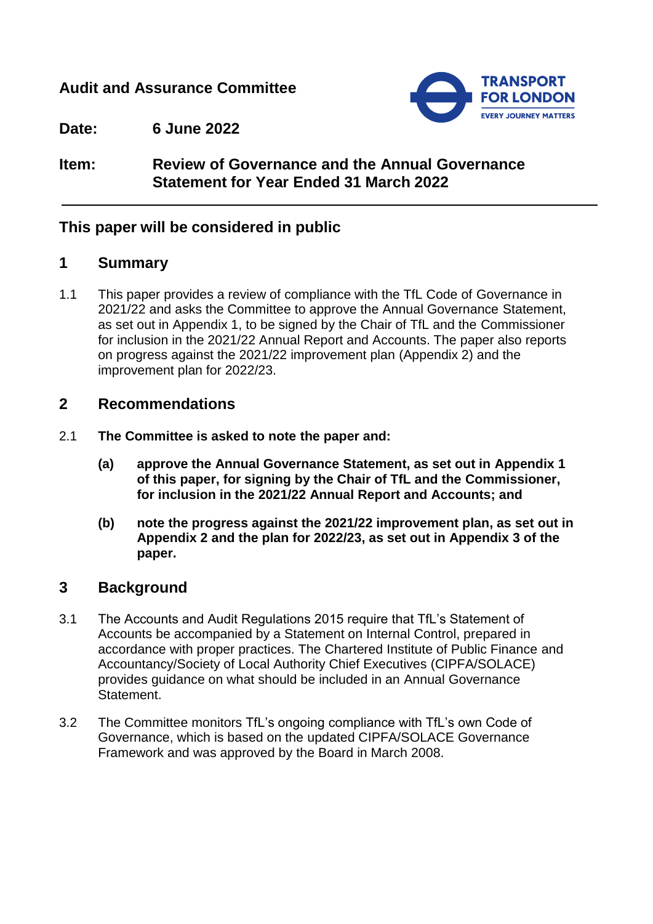## **Audit and Assurance Committee**



**Date: 6 June 2022**

## **Item: Review of Governance and the Annual Governance Statement for Year Ended 31 March 2022**

### **This paper will be considered in public**

### **1 Summary**

1.1 This paper provides a review of compliance with the TfL Code of Governance in 2021/22 and asks the Committee to approve the Annual Governance Statement, as set out in Appendix 1, to be signed by the Chair of TfL and the Commissioner for inclusion in the 2021/22 Annual Report and Accounts. The paper also reports on progress against the 2021/22 improvement plan (Appendix 2) and the improvement plan for 2022/23.

### **2 Recommendations**

- 2.1 **The Committee is asked to note the paper and:**
	- **(a) approve the Annual Governance Statement, as set out in Appendix 1 of this paper, for signing by the Chair of TfL and the Commissioner, for inclusion in the 2021/22 Annual Report and Accounts; and**
	- **(b) note the progress against the 2021/22 improvement plan, as set out in Appendix 2 and the plan for 2022/23, as set out in Appendix 3 of the paper.**

### **3 Background**

- 3.1 The Accounts and Audit Regulations 2015 require that TfL's Statement of Accounts be accompanied by a Statement on Internal Control, prepared in accordance with proper practices. The Chartered Institute of Public Finance and Accountancy/Society of Local Authority Chief Executives (CIPFA/SOLACE) provides guidance on what should be included in an Annual Governance Statement.
- 3.2 The Committee monitors TfL's ongoing compliance with TfL's own Code of Governance, which is based on the updated CIPFA/SOLACE Governance Framework and was approved by the Board in March 2008.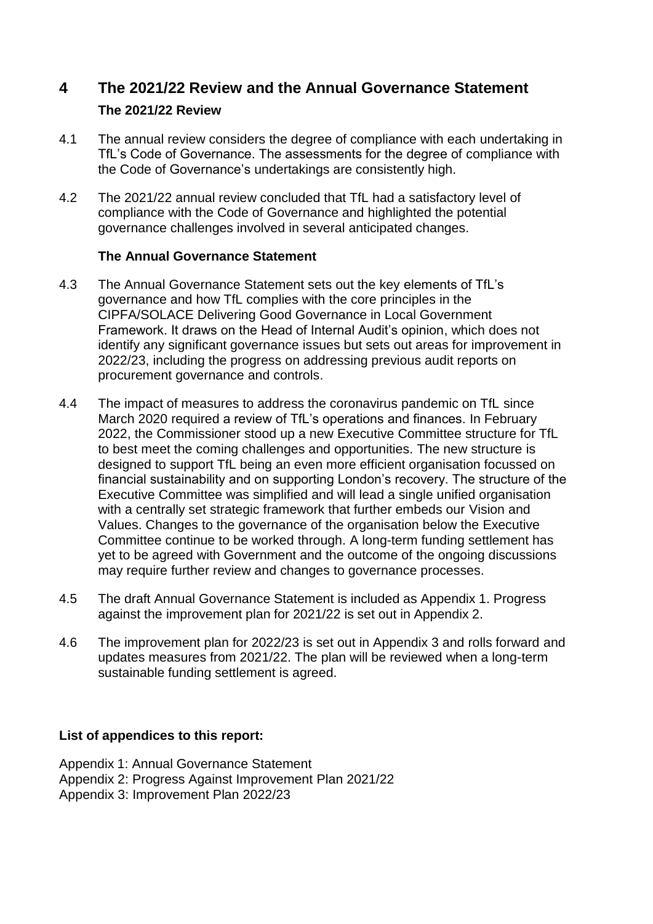## **4 The 2021/22 Review and the Annual Governance Statement The 2021/22 Review**

- 4.1 The annual review considers the degree of compliance with each undertaking in TfL's Code of Governance. The assessments for the degree of compliance with the Code of Governance's undertakings are consistently high.
- 4.2 The 2021/22 annual review concluded that TfL had a satisfactory level of compliance with the Code of Governance and highlighted the potential governance challenges involved in several anticipated changes.

#### **The Annual Governance Statement**

- 4.3 The Annual Governance Statement sets out the key elements of TfL's governance and how TfL complies with the core principles in the CIPFA/SOLACE Delivering Good Governance in Local Government Framework. It draws on the Head of Internal Audit's opinion, which does not identify any significant governance issues but sets out areas for improvement in 2022/23, including the progress on addressing previous audit reports on procurement governance and controls.
- 4.4 The impact of measures to address the coronavirus pandemic on TfL since March 2020 required a review of TfL's operations and finances. In February 2022, the Commissioner stood up a new Executive Committee structure for TfL to best meet the coming challenges and opportunities. The new structure is designed to support TfL being an even more efficient organisation focussed on financial sustainability and on supporting London's recovery. The structure of the Executive Committee was simplified and will lead a single unified organisation with a centrally set strategic framework that further embeds our Vision and Values. Changes to the governance of the organisation below the Executive Committee continue to be worked through. A long-term funding settlement has yet to be agreed with Government and the outcome of the ongoing discussions may require further review and changes to governance processes.
- 4.5 The draft Annual Governance Statement is included as Appendix 1. Progress against the improvement plan for 2021/22 is set out in Appendix 2.
- 4.6 The improvement plan for 2022/23 is set out in Appendix 3 and rolls forward and updates measures from 2021/22. The plan will be reviewed when a long-term sustainable funding settlement is agreed.

#### **List of appendices to this report:**

Appendix 1: Annual Governance Statement Appendix 2: Progress Against Improvement Plan 2021/22 Appendix 3: Improvement Plan 2022/23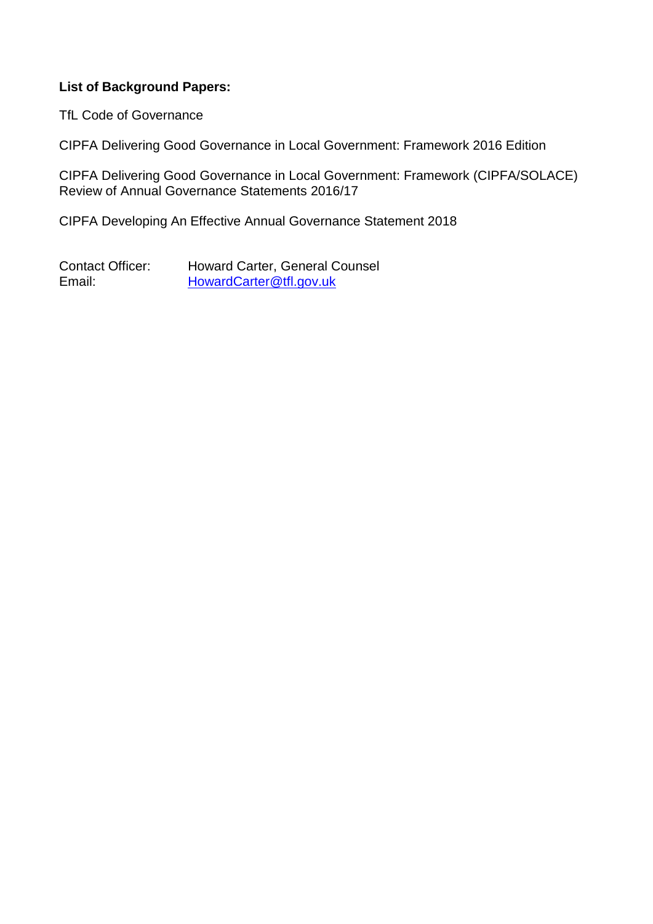#### **List of Background Papers:**

TfL Code of Governance

CIPFA Delivering Good Governance in Local Government: Framework 2016 Edition

CIPFA Delivering Good Governance in Local Government: Framework (CIPFA/SOLACE) Review of Annual Governance Statements 2016/17

CIPFA Developing An Effective Annual Governance Statement 2018

Contact Officer: Howard Carter, General Counsel Email: [HowardCarter@tfl.gov.uk](mailto:HowardCarter@tfl.gov.uk)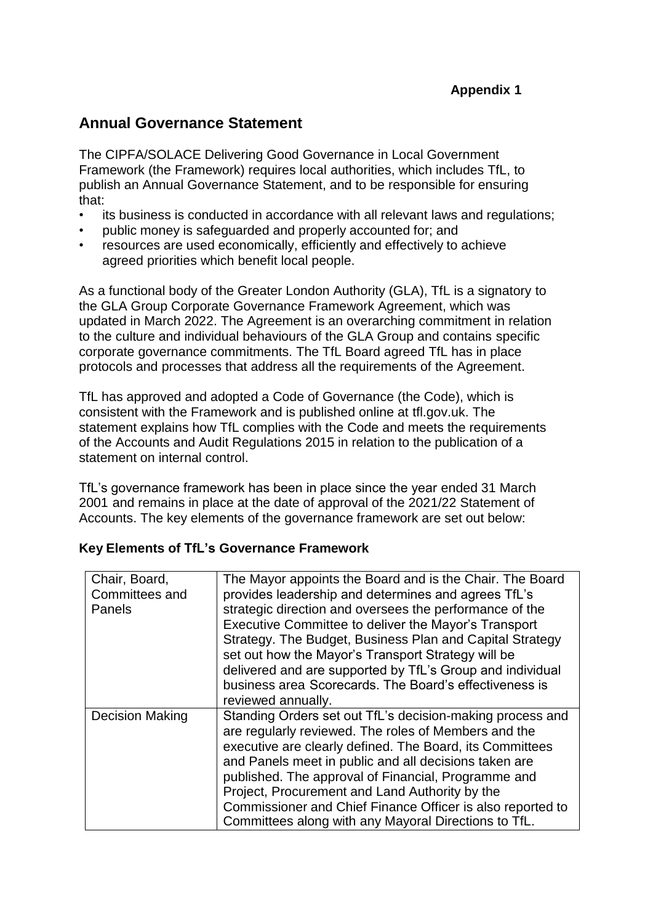## **Annual Governance Statement**

The CIPFA/SOLACE Delivering Good Governance in Local Government Framework (the Framework) requires local authorities, which includes TfL, to publish an Annual Governance Statement, and to be responsible for ensuring that:

- its business is conducted in accordance with all relevant laws and regulations;
- public money is safeguarded and properly accounted for; and
- resources are used economically, efficiently and effectively to achieve agreed priorities which benefit local people.

As a functional body of the Greater London Authority (GLA), TfL is a signatory to the GLA Group Corporate Governance Framework Agreement, which was updated in March 2022. The Agreement is an overarching commitment in relation to the culture and individual behaviours of the GLA Group and contains specific corporate governance commitments. The TfL Board agreed TfL has in place protocols and processes that address all the requirements of the Agreement.

TfL has approved and adopted a Code of Governance (the Code), which is consistent with the Framework and is published online at [tfl.gov.uk.](http://tfl.gov.uk/) The statement explains how TfL complies with the Code and meets the requirements of the Accounts and Audit Regulations 2015 in relation to the publication of a statement on internal control.

TfL's governance framework has been in place since the year ended 31 March 2001 and remains in place at the date of approval of the 2021/22 Statement of Accounts. The key elements of the governance framework are set out below:

#### **Key Elements of TfL's Governance Framework**

| Chair, Board,          | The Mayor appoints the Board and is the Chair. The Board   |
|------------------------|------------------------------------------------------------|
| Committees and         | provides leadership and determines and agrees TfL's        |
| Panels                 | strategic direction and oversees the performance of the    |
|                        | Executive Committee to deliver the Mayor's Transport       |
|                        | Strategy. The Budget, Business Plan and Capital Strategy   |
|                        | set out how the Mayor's Transport Strategy will be         |
|                        | delivered and are supported by TfL's Group and individual  |
|                        | business area Scorecards. The Board's effectiveness is     |
|                        | reviewed annually.                                         |
| <b>Decision Making</b> | Standing Orders set out TfL's decision-making process and  |
|                        | are regularly reviewed. The roles of Members and the       |
|                        | executive are clearly defined. The Board, its Committees   |
|                        | and Panels meet in public and all decisions taken are      |
|                        | published. The approval of Financial, Programme and        |
|                        | Project, Procurement and Land Authority by the             |
|                        | Commissioner and Chief Finance Officer is also reported to |
|                        | Committees along with any Mayoral Directions to TfL.       |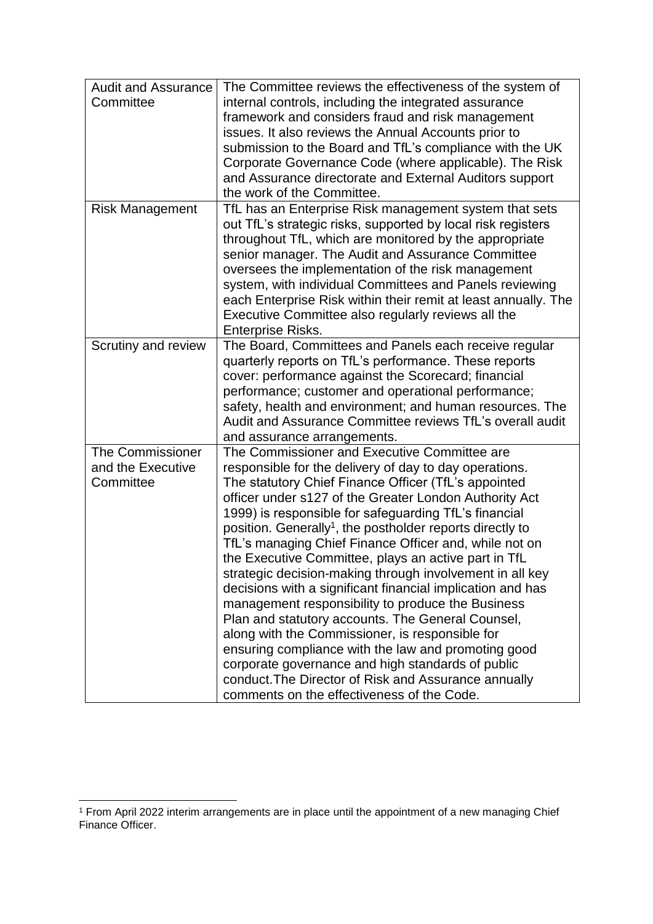| <b>Audit and Assurance</b> | The Committee reviews the effectiveness of the system of              |
|----------------------------|-----------------------------------------------------------------------|
| Committee                  | internal controls, including the integrated assurance                 |
|                            | framework and considers fraud and risk management                     |
|                            | issues. It also reviews the Annual Accounts prior to                  |
|                            | submission to the Board and TfL's compliance with the UK              |
|                            | Corporate Governance Code (where applicable). The Risk                |
|                            | and Assurance directorate and External Auditors support               |
|                            | the work of the Committee.                                            |
|                            |                                                                       |
| <b>Risk Management</b>     | TfL has an Enterprise Risk management system that sets                |
|                            | out TfL's strategic risks, supported by local risk registers          |
|                            | throughout TfL, which are monitored by the appropriate                |
|                            | senior manager. The Audit and Assurance Committee                     |
|                            | oversees the implementation of the risk management                    |
|                            | system, with individual Committees and Panels reviewing               |
|                            | each Enterprise Risk within their remit at least annually. The        |
|                            | Executive Committee also regularly reviews all the                    |
|                            | <b>Enterprise Risks.</b>                                              |
| Scrutiny and review        | The Board, Committees and Panels each receive regular                 |
|                            | quarterly reports on TfL's performance. These reports                 |
|                            | cover: performance against the Scorecard; financial                   |
|                            | performance; customer and operational performance;                    |
|                            | safety, health and environment; and human resources. The              |
|                            | Audit and Assurance Committee reviews TfL's overall audit             |
|                            | and assurance arrangements.                                           |
| <b>The Commissioner</b>    | The Commissioner and Executive Committee are                          |
| and the Executive          | responsible for the delivery of day to day operations.                |
| Committee                  | The statutory Chief Finance Officer (TfL's appointed                  |
|                            | officer under s127 of the Greater London Authority Act                |
|                            | 1999) is responsible for safeguarding TfL's financial                 |
|                            | position. Generally <sup>1</sup> , the postholder reports directly to |
|                            | TfL's managing Chief Finance Officer and, while not on                |
|                            | the Executive Committee, plays an active part in TfL                  |
|                            | strategic decision-making through involvement in all key              |
|                            | decisions with a significant financial implication and has            |
|                            | management responsibility to produce the Business                     |
|                            | Plan and statutory accounts. The General Counsel,                     |
|                            | along with the Commissioner, is responsible for                       |
|                            | ensuring compliance with the law and promoting good                   |
|                            | corporate governance and high standards of public                     |
|                            | conduct. The Director of Risk and Assurance annually                  |
|                            | comments on the effectiveness of the Code.                            |

 $\overline{a}$ 

<sup>1</sup> From April 2022 interim arrangements are in place until the appointment of a new managing Chief Finance Officer.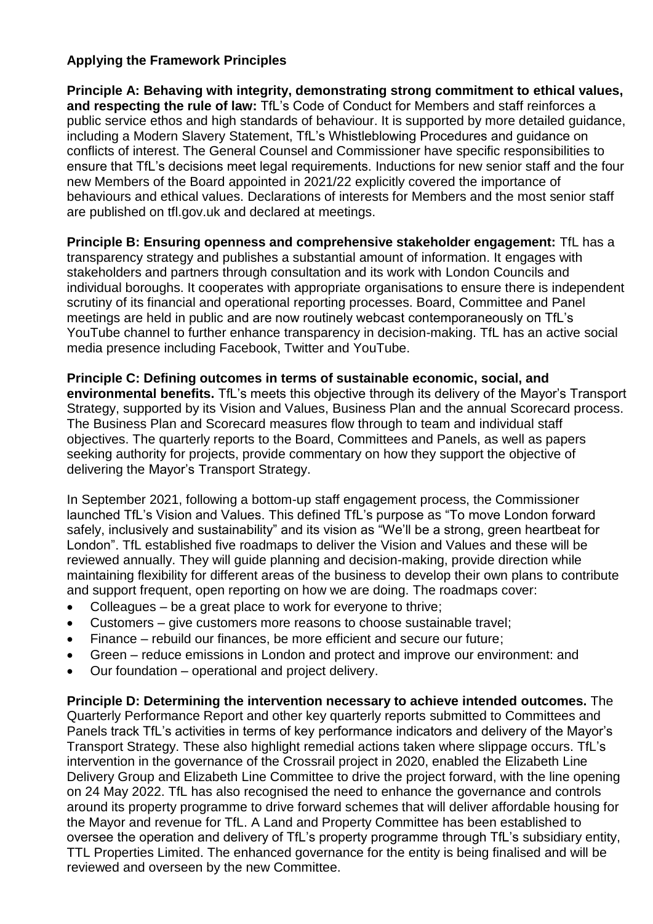### **Applying the Framework Principles**

**Principle A: Behaving with integrity, demonstrating strong commitment to ethical values, and respecting the rule of law:** TfL's Code of Conduct for Members and staff reinforces a public service ethos and high standards of behaviour. It is supported by more detailed guidance, including a Modern Slavery Statement, TfL's Whistleblowing Procedures and guidance on conflicts of interest. The General Counsel and Commissioner have specific responsibilities to ensure that TfL's decisions meet legal requirements. Inductions for new senior staff and the four new Members of the Board appointed in 2021/22 explicitly covered the importance of behaviours and ethical values. Declarations of interests for Members and the most senior staff are published on tfl.gov.uk and declared at meetings.

**Principle B: Ensuring openness and comprehensive stakeholder engagement:** TfL has a transparency strategy and publishes a substantial amount of information. It engages with stakeholders and partners through consultation and its work with London Councils and individual boroughs. It cooperates with appropriate organisations to ensure there is independent scrutiny of its financial and operational reporting processes. Board, Committee and Panel meetings are held in public and are now routinely webcast contemporaneously on TfL's YouTube channel to further enhance transparency in decision-making. TfL has an active social media presence including Facebook, Twitter and YouTube.

**Principle C: Defining outcomes in terms of sustainable economic, social, and environmental benefits.** TfL's meets this objective through its delivery of the Mayor's Transport Strategy, supported by its Vision and Values, Business Plan and the annual Scorecard process. The Business Plan and Scorecard measures flow through to team and individual staff objectives. The quarterly reports to the Board, Committees and Panels, as well as papers seeking authority for projects, provide commentary on how they support the objective of delivering the Mayor's Transport Strategy.

In September 2021, following a bottom-up staff engagement process, the Commissioner launched TfL's Vision and Values. This defined TfL's purpose as "To move London forward safely, inclusively and sustainability" and its vision as "We'll be a strong, green heartbeat for London". TfL established five roadmaps to deliver the Vision and Values and these will be reviewed annually. They will guide planning and decision-making, provide direction while maintaining flexibility for different areas of the business to develop their own plans to contribute and support frequent, open reporting on how we are doing. The roadmaps cover:

- Colleagues be a great place to work for everyone to thrive;
- Customers give customers more reasons to choose sustainable travel;
- Finance rebuild our finances, be more efficient and secure our future;
- Green reduce emissions in London and protect and improve our environment: and
- Our foundation operational and project delivery.

**Principle D: Determining the intervention necessary to achieve intended outcomes.** The Quarterly Performance Report and other key quarterly reports submitted to Committees and Panels track TfL's activities in terms of key performance indicators and delivery of the Mayor's Transport Strategy. These also highlight remedial actions taken where slippage occurs. TfL's intervention in the governance of the Crossrail project in 2020, enabled the Elizabeth Line Delivery Group and Elizabeth Line Committee to drive the project forward, with the line opening on 24 May 2022. TfL has also recognised the need to enhance the governance and controls around its property programme to drive forward schemes that will deliver affordable housing for the Mayor and revenue for TfL. A Land and Property Committee has been established to oversee the operation and delivery of TfL's property programme through TfL's subsidiary entity, TTL Properties Limited. The enhanced governance for the entity is being finalised and will be reviewed and overseen by the new Committee.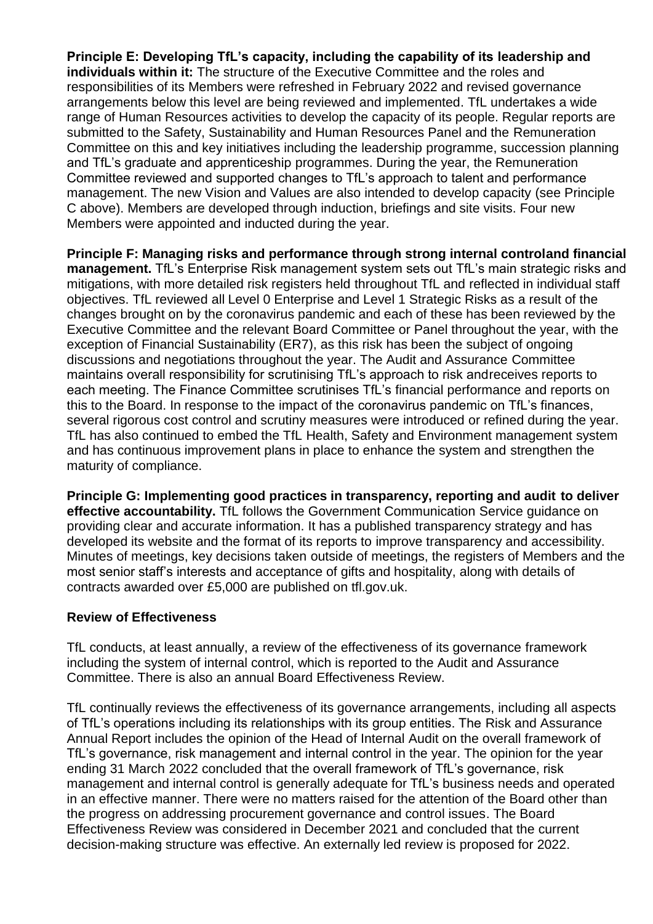**Principle E: Developing TfL's capacity, including the capability of its leadership and individuals within it:** The structure of the Executive Committee and the roles and responsibilities of its Members were refreshed in February 2022 and revised governance arrangements below this level are being reviewed and implemented. TfL undertakes a wide range of Human Resources activities to develop the capacity of its people. Regular reports are submitted to the Safety, Sustainability and Human Resources Panel and the Remuneration Committee on this and key initiatives including the leadership programme, succession planning and TfL's graduate and apprenticeship programmes. During the year, the Remuneration Committee reviewed and supported changes to TfL's approach to talent and performance management. The new Vision and Values are also intended to develop capacity (see Principle C above). Members are developed through induction, briefings and site visits. Four new Members were appointed and inducted during the year.

**Principle F: Managing risks and performance through strong internal controland financial management.** TfL's Enterprise Risk management system sets out TfL's main strategic risks and mitigations, with more detailed risk registers held throughout TfL and reflected in individual staff objectives. TfL reviewed all Level 0 Enterprise and Level 1 Strategic Risks as a result of the changes brought on by the coronavirus pandemic and each of these has been reviewed by the Executive Committee and the relevant Board Committee or Panel throughout the year, with the exception of Financial Sustainability (ER7), as this risk has been the subject of ongoing discussions and negotiations throughout the year. The Audit and Assurance Committee maintains overall responsibility for scrutinising TfL's approach to risk andreceives reports to each meeting. The Finance Committee scrutinises TfL's financial performance and reports on this to the Board. In response to the impact of the coronavirus pandemic on TfL's finances, several rigorous cost control and scrutiny measures were introduced or refined during the year. TfL has also continued to embed the TfL Health, Safety and Environment management system and has continuous improvement plans in place to enhance the system and strengthen the maturity of compliance.

**Principle G: Implementing good practices in transparency, reporting and audit to deliver effective accountability.** TfL follows the Government Communication Service guidance on providing clear and accurate information. It has a published transparency strategy and has developed its website and the format of its reports to improve transparency and accessibility. Minutes of meetings, key decisions taken outside of meetings, the registers of Members and the most senior staff's interests and acceptance of gifts and hospitality, along with details of contracts awarded over £5,000 are published on tfl.gov.uk.

#### **Review of Effectiveness**

TfL conducts, at least annually, a review of the effectiveness of its governance framework including the system of internal control, which is reported to the Audit and Assurance Committee. There is also an annual Board Effectiveness Review.

TfL continually reviews the effectiveness of its governance arrangements, including all aspects of TfL's operations including its relationships with its group entities. The Risk and Assurance Annual Report includes the opinion of the Head of Internal Audit on the overall framework of TfL's governance, risk management and internal control in the year. The opinion for the year ending 31 March 2022 concluded that the overall framework of TfL's governance, risk management and internal control is generally adequate for TfL's business needs and operated in an effective manner. There were no matters raised for the attention of the Board other than the progress on addressing procurement governance and control issues. The Board Effectiveness Review was considered in December 2021 and concluded that the current decision-making structure was effective. An externally led review is proposed for 2022.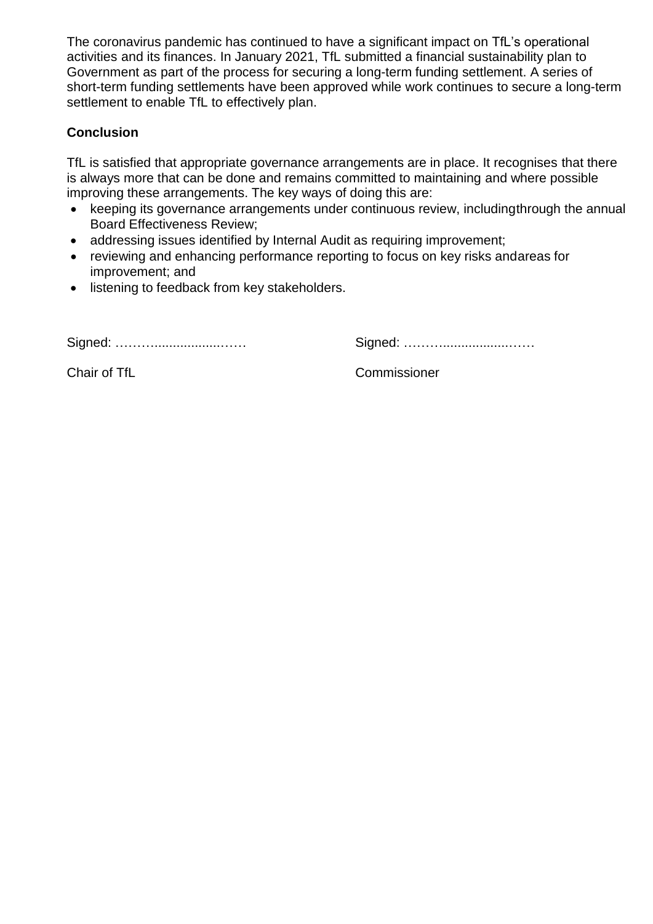The coronavirus pandemic has continued to have a significant impact on TfL's operational activities and its finances. In January 2021, TfL submitted a financial sustainability plan to Government as part of the process for securing a long-term funding settlement. A series of short-term funding settlements have been approved while work continues to secure a long-term settlement to enable TfL to effectively plan.

#### **Conclusion**

TfL is satisfied that appropriate governance arrangements are in place. It recognises that there is always more that can be done and remains committed to maintaining and where possible improving these arrangements. The key ways of doing this are:

- keeping its governance arrangements under continuous review, includingthrough the annual Board Effectiveness Review;
- addressing issues identified by Internal Audit as requiring improvement;
- reviewing and enhancing performance reporting to focus on key risks andareas for improvement; and
- listening to feedback from key stakeholders.

Signed: ………..................…… Signed: ………..................……

Chair of TfL Chair Commissioner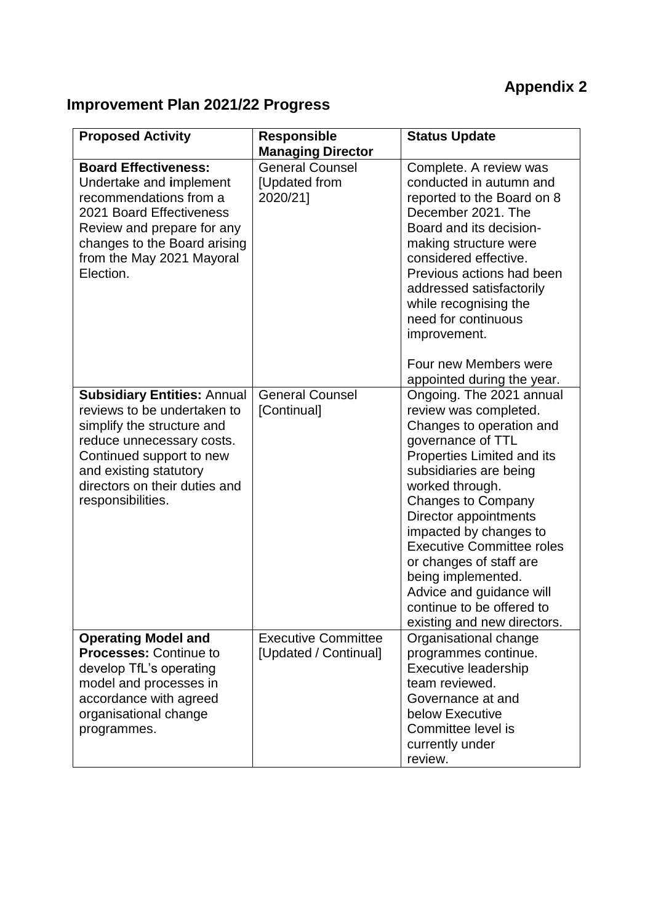# **Appendix 2**

# **Improvement Plan 2021/22 Progress**

| <b>Proposed Activity</b>                                                                                                                                                                                                                 | <b>Responsible</b>                                                              | <b>Status Update</b>                                                                                                                                                                                                                                                                                                                                                                                                                       |
|------------------------------------------------------------------------------------------------------------------------------------------------------------------------------------------------------------------------------------------|---------------------------------------------------------------------------------|--------------------------------------------------------------------------------------------------------------------------------------------------------------------------------------------------------------------------------------------------------------------------------------------------------------------------------------------------------------------------------------------------------------------------------------------|
| <b>Board Effectiveness:</b><br>Undertake and implement<br>recommendations from a<br>2021 Board Effectiveness<br>Review and prepare for any<br>changes to the Board arising<br>from the May 2021 Mayoral<br>Election.                     | <b>Managing Director</b><br><b>General Counsel</b><br>[Updated from<br>2020/21] | Complete. A review was<br>conducted in autumn and<br>reported to the Board on 8<br>December 2021. The<br>Board and its decision-<br>making structure were<br>considered effective.<br>Previous actions had been<br>addressed satisfactorily<br>while recognising the<br>need for continuous<br>improvement.                                                                                                                                |
|                                                                                                                                                                                                                                          |                                                                                 | Four new Members were<br>appointed during the year.                                                                                                                                                                                                                                                                                                                                                                                        |
| <b>Subsidiary Entities: Annual</b><br>reviews to be undertaken to<br>simplify the structure and<br>reduce unnecessary costs.<br>Continued support to new<br>and existing statutory<br>directors on their duties and<br>responsibilities. | <b>General Counsel</b><br>[Continual]                                           | Ongoing. The 2021 annual<br>review was completed.<br>Changes to operation and<br>governance of TTL<br>Properties Limited and its<br>subsidiaries are being<br>worked through.<br><b>Changes to Company</b><br>Director appointments<br>impacted by changes to<br><b>Executive Committee roles</b><br>or changes of staff are<br>being implemented.<br>Advice and guidance will<br>continue to be offered to<br>existing and new directors. |
| <b>Operating Model and</b><br><b>Processes: Continue to</b><br>develop TfL's operating<br>model and processes in<br>accordance with agreed<br>organisational change<br>programmes.                                                       | <b>Executive Committee</b><br>[Updated / Continual]                             | Organisational change<br>programmes continue.<br>Executive leadership<br>team reviewed.<br>Governance at and<br>below Executive<br>Committee level is<br>currently under<br>review.                                                                                                                                                                                                                                                        |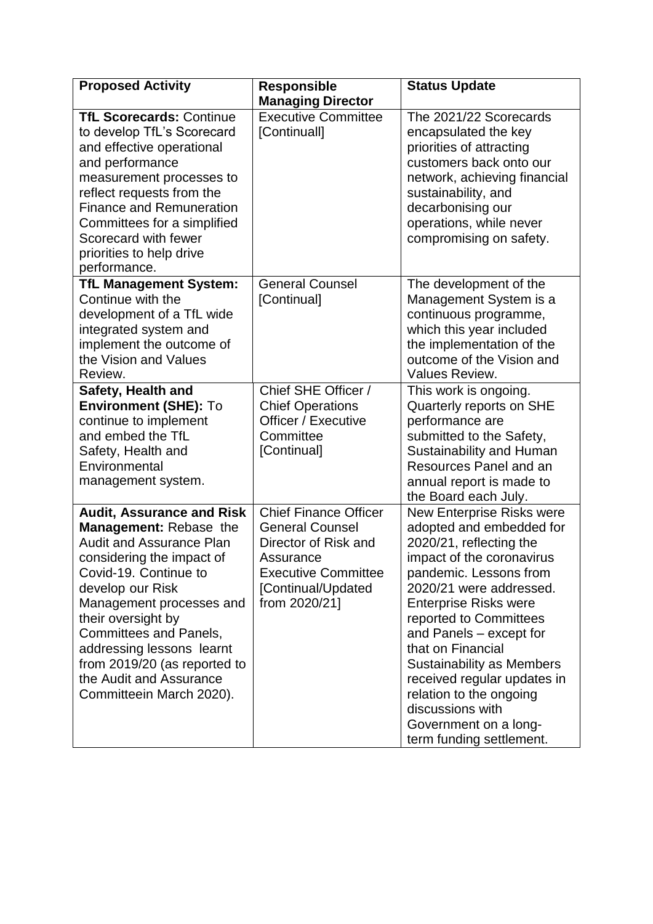| <b>Proposed Activity</b>                                                                                                                                                                                                                                                                                                                                                | <b>Responsible</b>                                                                                                                                               | <b>Status Update</b>                                                                                                                                                                                                                                                                                                                                                                                                                                       |
|-------------------------------------------------------------------------------------------------------------------------------------------------------------------------------------------------------------------------------------------------------------------------------------------------------------------------------------------------------------------------|------------------------------------------------------------------------------------------------------------------------------------------------------------------|------------------------------------------------------------------------------------------------------------------------------------------------------------------------------------------------------------------------------------------------------------------------------------------------------------------------------------------------------------------------------------------------------------------------------------------------------------|
|                                                                                                                                                                                                                                                                                                                                                                         | <b>Managing Director</b>                                                                                                                                         |                                                                                                                                                                                                                                                                                                                                                                                                                                                            |
| <b>TfL Scorecards: Continue</b><br>to develop TfL's Scorecard<br>and effective operational<br>and performance<br>measurement processes to<br>reflect requests from the<br><b>Finance and Remuneration</b><br>Committees for a simplified<br>Scorecard with fewer<br>priorities to help drive<br>performance.                                                            | <b>Executive Committee</b><br>[Continuall]                                                                                                                       | The 2021/22 Scorecards<br>encapsulated the key<br>priorities of attracting<br>customers back onto our<br>network, achieving financial<br>sustainability, and<br>decarbonising our<br>operations, while never<br>compromising on safety.                                                                                                                                                                                                                    |
| <b>TfL Management System:</b><br>Continue with the<br>development of a TfL wide<br>integrated system and<br>implement the outcome of<br>the Vision and Values<br>Review.                                                                                                                                                                                                | <b>General Counsel</b><br>[Continual]                                                                                                                            | The development of the<br>Management System is a<br>continuous programme,<br>which this year included<br>the implementation of the<br>outcome of the Vision and<br>Values Review.                                                                                                                                                                                                                                                                          |
| Safety, Health and<br><b>Environment (SHE): To</b><br>continue to implement<br>and embed the TfL<br>Safety, Health and<br>Environmental<br>management system.                                                                                                                                                                                                           | Chief SHE Officer /<br><b>Chief Operations</b><br>Officer / Executive<br>Committee<br>[Continual]                                                                | This work is ongoing.<br>Quarterly reports on SHE<br>performance are<br>submitted to the Safety,<br>Sustainability and Human<br>Resources Panel and an<br>annual report is made to<br>the Board each July.                                                                                                                                                                                                                                                 |
| <b>Audit, Assurance and Risk</b><br>Management: Rebase the<br><b>Audit and Assurance Plan</b><br>considering the impact of<br>Covid-19. Continue to<br>develop our Risk<br>Management processes and<br>their oversight by<br>Committees and Panels,<br>addressing lessons learnt<br>from 2019/20 (as reported to<br>the Audit and Assurance<br>Committeein March 2020). | <b>Chief Finance Officer</b><br><b>General Counsel</b><br>Director of Risk and<br>Assurance<br><b>Executive Committee</b><br>[Continual/Updated<br>from 2020/21] | <b>New Enterprise Risks were</b><br>adopted and embedded for<br>2020/21, reflecting the<br>impact of the coronavirus<br>pandemic. Lessons from<br>2020/21 were addressed.<br><b>Enterprise Risks were</b><br>reported to Committees<br>and Panels - except for<br>that on Financial<br><b>Sustainability as Members</b><br>received regular updates in<br>relation to the ongoing<br>discussions with<br>Government on a long-<br>term funding settlement. |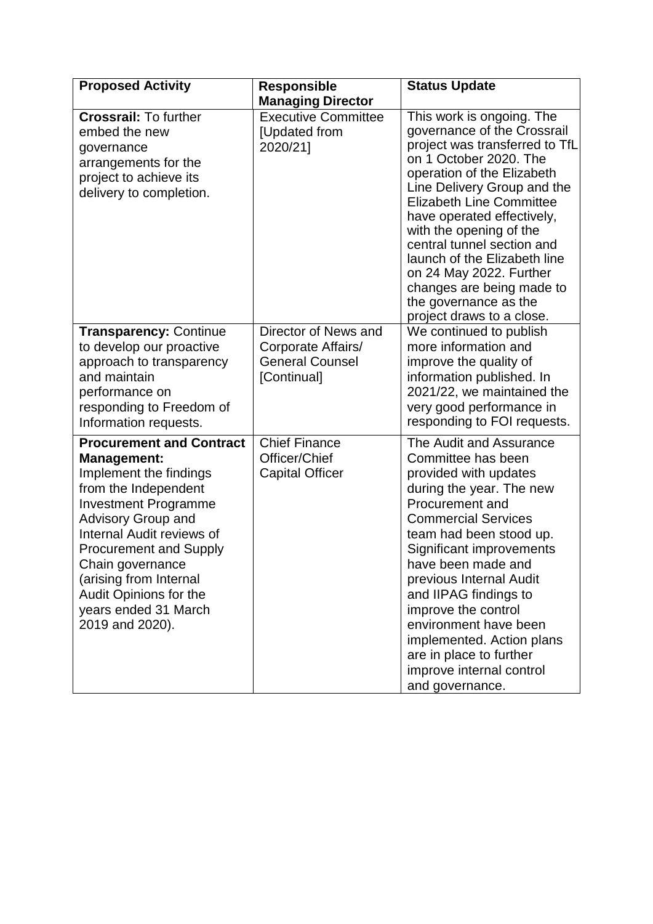| <b>Proposed Activity</b>                                                                                                                                                                                                                                                                                                                             | <b>Responsible</b>                                                                  | <b>Status Update</b>                                                                                                                                                                                                                                                                                                                                                                                                                                      |
|------------------------------------------------------------------------------------------------------------------------------------------------------------------------------------------------------------------------------------------------------------------------------------------------------------------------------------------------------|-------------------------------------------------------------------------------------|-----------------------------------------------------------------------------------------------------------------------------------------------------------------------------------------------------------------------------------------------------------------------------------------------------------------------------------------------------------------------------------------------------------------------------------------------------------|
| <b>Crossrail: To further</b><br>embed the new<br>governance<br>arrangements for the<br>project to achieve its<br>delivery to completion.                                                                                                                                                                                                             | <b>Managing Director</b><br><b>Executive Committee</b><br>[Updated from<br>2020/21] | This work is ongoing. The<br>governance of the Crossrail<br>project was transferred to TfL<br>on 1 October 2020. The<br>operation of the Elizabeth<br>Line Delivery Group and the<br><b>Elizabeth Line Committee</b><br>have operated effectively,<br>with the opening of the<br>central tunnel section and<br>launch of the Elizabeth line<br>on 24 May 2022. Further<br>changes are being made to<br>the governance as the<br>project draws to a close. |
| <b>Transparency: Continue</b><br>to develop our proactive<br>approach to transparency<br>and maintain<br>performance on<br>responding to Freedom of<br>Information requests.                                                                                                                                                                         | Director of News and<br>Corporate Affairs/<br><b>General Counsel</b><br>[Continual] | We continued to publish<br>more information and<br>improve the quality of<br>information published. In<br>2021/22, we maintained the<br>very good performance in<br>responding to FOI requests.                                                                                                                                                                                                                                                           |
| <b>Procurement and Contract</b><br><b>Management:</b><br>Implement the findings<br>from the Independent<br><b>Investment Programme</b><br><b>Advisory Group and</b><br>Internal Audit reviews of<br><b>Procurement and Supply</b><br>Chain governance<br>(arising from Internal<br>Audit Opinions for the<br>years ended 31 March<br>2019 and 2020). | <b>Chief Finance</b><br>Officer/Chief<br><b>Capital Officer</b>                     | The Audit and Assurance<br>Committee has been<br>provided with updates<br>during the year. The new<br>Procurement and<br><b>Commercial Services</b><br>team had been stood up.<br>Significant improvements<br>have been made and<br>previous Internal Audit<br>and IIPAG findings to<br>improve the control<br>environment have been<br>implemented. Action plans<br>are in place to further<br>improve internal control<br>and governance.               |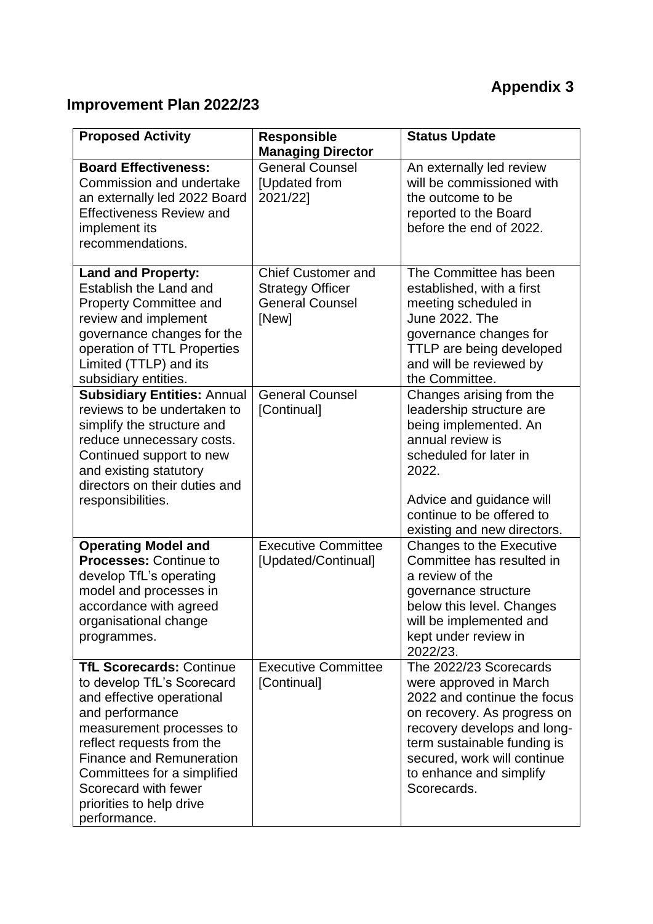# **Appendix 3**

## **Improvement Plan 2022/23**

| <b>Proposed Activity</b>                                                                                                                                                                                                                                                                                     | <b>Responsible</b><br><b>Managing Director</b>                                          | <b>Status Update</b>                                                                                                                                                                                                                                  |
|--------------------------------------------------------------------------------------------------------------------------------------------------------------------------------------------------------------------------------------------------------------------------------------------------------------|-----------------------------------------------------------------------------------------|-------------------------------------------------------------------------------------------------------------------------------------------------------------------------------------------------------------------------------------------------------|
| <b>Board Effectiveness:</b><br>Commission and undertake<br>an externally led 2022 Board<br><b>Effectiveness Review and</b><br>implement its<br>recommendations.                                                                                                                                              | <b>General Counsel</b><br>[Updated from<br>2021/22]                                     | An externally led review<br>will be commissioned with<br>the outcome to be<br>reported to the Board<br>before the end of 2022.                                                                                                                        |
| <b>Land and Property:</b><br>Establish the Land and<br><b>Property Committee and</b><br>review and implement<br>governance changes for the<br>operation of TTL Properties<br>Limited (TTLP) and its<br>subsidiary entities.                                                                                  | <b>Chief Customer and</b><br><b>Strategy Officer</b><br><b>General Counsel</b><br>[New] | The Committee has been<br>established, with a first<br>meeting scheduled in<br>June 2022, The<br>governance changes for<br>TTLP are being developed<br>and will be reviewed by<br>the Committee.                                                      |
| <b>Subsidiary Entities: Annual</b><br>reviews to be undertaken to<br>simplify the structure and<br>reduce unnecessary costs.<br>Continued support to new<br>and existing statutory<br>directors on their duties and<br>responsibilities.                                                                     | <b>General Counsel</b><br>[Continual]                                                   | Changes arising from the<br>leadership structure are<br>being implemented. An<br>annual review is<br>scheduled for later in<br>2022.<br>Advice and guidance will<br>continue to be offered to<br>existing and new directors.                          |
| <b>Operating Model and</b><br><b>Processes: Continue to</b><br>develop TfL's operating<br>model and processes in<br>accordance with agreed<br>organisational change<br>programmes.                                                                                                                           | <b>Executive Committee</b><br>[Updated/Continual]                                       | Changes to the Executive<br>Committee has resulted in<br>a review of the<br>governance structure<br>below this level. Changes<br>will be implemented and<br>kept under review in<br>2022/23.                                                          |
| <b>TfL Scorecards: Continue</b><br>to develop TfL's Scorecard<br>and effective operational<br>and performance<br>measurement processes to<br>reflect requests from the<br><b>Finance and Remuneration</b><br>Committees for a simplified<br>Scorecard with fewer<br>priorities to help drive<br>performance. | <b>Executive Committee</b><br>[Continual]                                               | The 2022/23 Scorecards<br>were approved in March<br>2022 and continue the focus<br>on recovery. As progress on<br>recovery develops and long-<br>term sustainable funding is<br>secured, work will continue<br>to enhance and simplify<br>Scorecards. |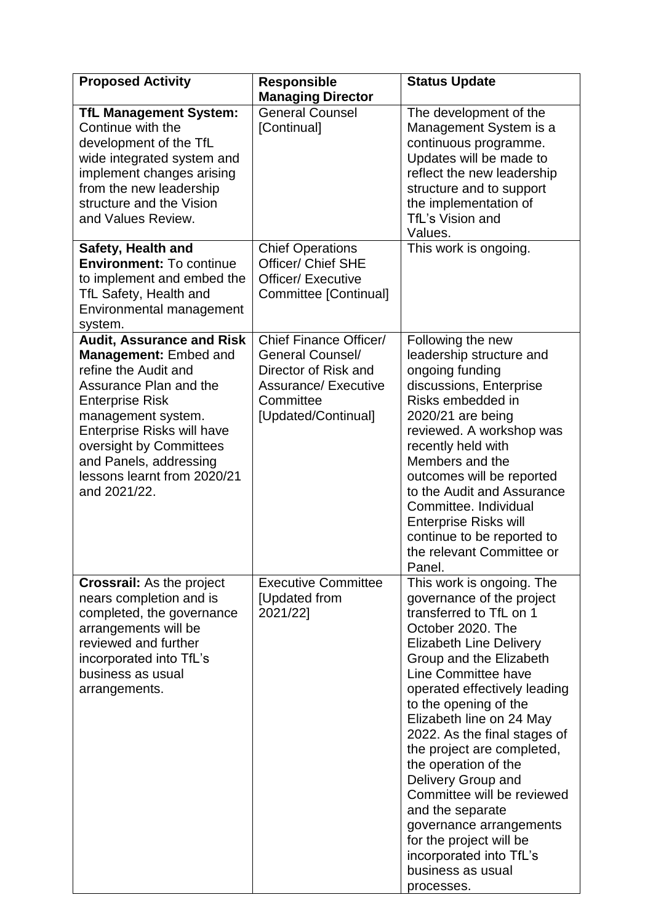| <b>Proposed Activity</b>                                                                                                                                                                                                                                                                                    | <b>Responsible</b><br><b>Managing Director</b>                                                                                               | <b>Status Update</b>                                                                                                                                                                                                                                                                                                                                                                                                                                                                                                                                              |
|-------------------------------------------------------------------------------------------------------------------------------------------------------------------------------------------------------------------------------------------------------------------------------------------------------------|----------------------------------------------------------------------------------------------------------------------------------------------|-------------------------------------------------------------------------------------------------------------------------------------------------------------------------------------------------------------------------------------------------------------------------------------------------------------------------------------------------------------------------------------------------------------------------------------------------------------------------------------------------------------------------------------------------------------------|
| <b>TfL Management System:</b><br>Continue with the<br>development of the TfL<br>wide integrated system and<br>implement changes arising<br>from the new leadership<br>structure and the Vision<br>and Values Review.                                                                                        | <b>General Counsel</b><br>[Continual]                                                                                                        | The development of the<br>Management System is a<br>continuous programme.<br>Updates will be made to<br>reflect the new leadership<br>structure and to support<br>the implementation of<br>TfL's Vision and<br>Values.                                                                                                                                                                                                                                                                                                                                            |
| Safety, Health and<br><b>Environment: To continue</b><br>to implement and embed the<br>TfL Safety, Health and<br>Environmental management<br>system.                                                                                                                                                        | <b>Chief Operations</b><br>Officer/ Chief SHE<br><b>Officer/ Executive</b><br>Committee [Continual]                                          | This work is ongoing.                                                                                                                                                                                                                                                                                                                                                                                                                                                                                                                                             |
| <b>Audit, Assurance and Risk</b><br><b>Management: Embed and</b><br>refine the Audit and<br>Assurance Plan and the<br><b>Enterprise Risk</b><br>management system.<br><b>Enterprise Risks will have</b><br>oversight by Committees<br>and Panels, addressing<br>lessons learnt from 2020/21<br>and 2021/22. | Chief Finance Officer/<br><b>General Counsel/</b><br>Director of Risk and<br><b>Assurance/ Executive</b><br>Committee<br>[Updated/Continual] | Following the new<br>leadership structure and<br>ongoing funding<br>discussions, Enterprise<br>Risks embedded in<br>2020/21 are being<br>reviewed. A workshop was<br>recently held with<br>Members and the<br>outcomes will be reported<br>to the Audit and Assurance<br>Committee. Individual<br><b>Enterprise Risks will</b><br>continue to be reported to<br>the relevant Committee or<br>Panel.                                                                                                                                                               |
| <b>Crossrail:</b> As the project<br>nears completion and is<br>completed, the governance<br>arrangements will be<br>reviewed and further<br>incorporated into TfL's<br>business as usual<br>arrangements.                                                                                                   | <b>Executive Committee</b><br>[Updated from<br>2021/22]                                                                                      | This work is ongoing. The<br>governance of the project<br>transferred to TfL on 1<br>October 2020. The<br><b>Elizabeth Line Delivery</b><br>Group and the Elizabeth<br>Line Committee have<br>operated effectively leading<br>to the opening of the<br>Elizabeth line on 24 May<br>2022. As the final stages of<br>the project are completed,<br>the operation of the<br>Delivery Group and<br>Committee will be reviewed<br>and the separate<br>governance arrangements<br>for the project will be<br>incorporated into TfL's<br>business as usual<br>processes. |